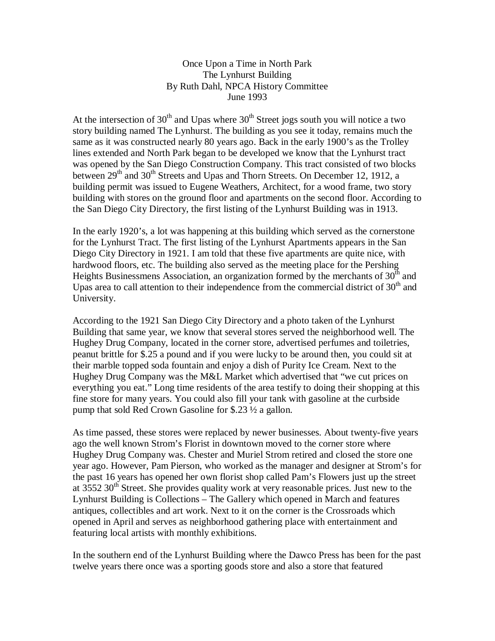## Once Upon a Time in North Park The Lynhurst Building By Ruth Dahl, NPCA History Committee June 1993

At the intersection of 30<sup>th</sup> and Upas where 30<sup>th</sup> Street jogs south you will notice a two story building named The Lynhurst. The building as you see it today, remains much the same as it was constructed nearly 80 years ago. Back in the early 1900's as the Trolley lines extended and North Park began to be developed we know that the Lynhurst tract was opened by the San Diego Construction Company. This tract consisted of two blocks between  $29<sup>th</sup>$  and  $30<sup>th</sup>$  Streets and Upas and Thorn Streets. On December 12, 1912, a building permit was issued to Eugene Weathers, Architect, for a wood frame, two story building with stores on the ground floor and apartments on the second floor. According to the San Diego City Directory, the first listing of the Lynhurst Building was in 1913.

In the early 1920's, a lot was happening at this building which served as the cornerstone for the Lynhurst Tract. The first listing of the Lynhurst Apartments appears in the San Diego City Directory in 1921. I am told that these five apartments are quite nice, with hardwood floors, etc. The building also served as the meeting place for the Pershing Heights Businessmens Association, an organization formed by the merchants of  $30<sup>th</sup>$  and Upas area to call attention to their independence from the commercial district of  $30<sup>th</sup>$  and University.

According to the 1921 San Diego City Directory and a photo taken of the Lynhurst Building that same year, we know that several stores served the neighborhood well. The Hughey Drug Company, located in the corner store, advertised perfumes and toiletries, peanut brittle for \$.25 a pound and if you were lucky to be around then, you could sit at their marble topped soda fountain and enjoy a dish of Purity Ice Cream. Next to the Hughey Drug Company was the M&L Market which advertised that "we cut prices on everything you eat." Long time residents of the area testify to doing their shopping at this fine store for many years. You could also fill your tank with gasoline at the curbside pump that sold Red Crown Gasoline for \$.23 ½ a gallon.

As time passed, these stores were replaced by newer businesses. About twenty-five years ago the well known Strom's Florist in downtown moved to the corner store where Hughey Drug Company was. Chester and Muriel Strom retired and closed the store one year ago. However, Pam Pierson, who worked as the manager and designer at Strom's for the past 16 years has opened her own florist shop called Pam's Flowers just up the street at  $3552$   $30<sup>th</sup>$  Street. She provides quality work at very reasonable prices. Just new to the Lynhurst Building is Collections – The Gallery which opened in March and features antiques, collectibles and art work. Next to it on the corner is the Crossroads which opened in April and serves as neighborhood gathering place with entertainment and featuring local artists with monthly exhibitions.

In the southern end of the Lynhurst Building where the Dawco Press has been for the past twelve years there once was a sporting goods store and also a store that featured